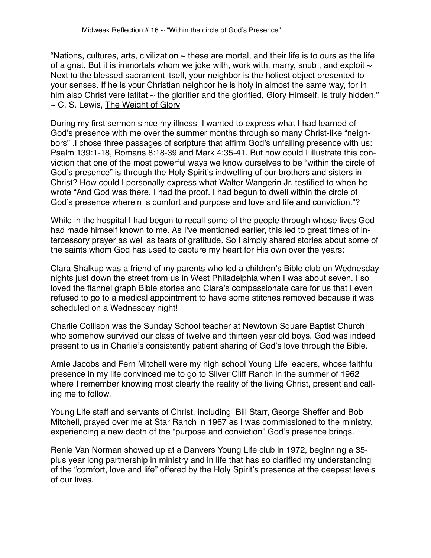"Nations, cultures, arts, civilization  $\sim$  these are mortal, and their life is to ours as the life of a gnat. But it is immortals whom we joke with, work with, marry, snub, and exploit  $\sim$ Next to the blessed sacrament itself, your neighbor is the holiest object presented to your senses. If he is your Christian neighbor he is holy in almost the same way, for in him also Christ vere latitat  $\sim$  the glorifier and the glorified, Glory Himself, is truly hidden."  $\sim$  C. S. Lewis, The Weight of Glory

During my first sermon since my illness I wanted to express what I had learned of God's presence with me over the summer months through so many Christ-like "neighbors" .I chose three passages of scripture that affirm God's unfailing presence with us: Psalm 139:1-18, Romans 8:18-39 and Mark 4:35-41. But how could I illustrate this conviction that one of the most powerful ways we know ourselves to be "within the circle of God's presence" is through the Holy Spirit's indwelling of our brothers and sisters in Christ? How could I personally express what Walter Wangerin Jr. testified to when he wrote "And God was there. I had the proof. I had begun to dwell within the circle of God's presence wherein is comfort and purpose and love and life and conviction."?

While in the hospital I had begun to recall some of the people through whose lives God had made himself known to me. As I've mentioned earlier, this led to great times of intercessory prayer as well as tears of gratitude. So I simply shared stories about some of the saints whom God has used to capture my heart for His own over the years:

Clara Shalkup was a friend of my parents who led a children's Bible club on Wednesday nights just down the street from us in West Philadelphia when I was about seven. I so loved the flannel graph Bible stories and Clara's compassionate care for us that I even refused to go to a medical appointment to have some stitches removed because it was scheduled on a Wednesday night!

Charlie Collison was the Sunday School teacher at Newtown Square Baptist Church who somehow survived our class of twelve and thirteen year old boys. God was indeed present to us in Charlie's consistently patient sharing of God's love through the Bible.

Arnie Jacobs and Fern Mitchell were my high school Young Life leaders, whose faithful presence in my life convinced me to go to Silver Cliff Ranch in the summer of 1962 where I remember knowing most clearly the reality of the living Christ, present and calling me to follow.

Young Life staff and servants of Christ, including Bill Starr, George Sheffer and Bob Mitchell, prayed over me at Star Ranch in 1967 as I was commissioned to the ministry, experiencing a new depth of the "purpose and conviction" God's presence brings.

Renie Van Norman showed up at a Danvers Young Life club in 1972, beginning a 35 plus year long partnership in ministry and in life that has so clarified my understanding of the "comfort, love and life" offered by the Holy Spirit's presence at the deepest levels of our lives.